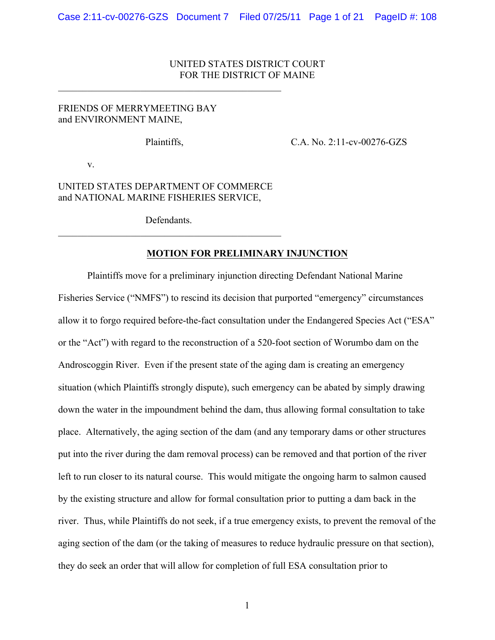## UNITED STATES DISTRICT COURT FOR THE DISTRICT OF MAINE

## FRIENDS OF MERRYMEETING BAY and ENVIRONMENT MAINE,

 $\mathcal{L}_\text{max}$  and  $\mathcal{L}_\text{max}$  and  $\mathcal{L}_\text{max}$  and  $\mathcal{L}_\text{max}$  and  $\mathcal{L}_\text{max}$ 

Plaintiffs, C.A. No. 2:11-cv-00276-GZS

v.

## UNITED STATES DEPARTMENT OF COMMERCE and NATIONAL MARINE FISHERIES SERVICE,

**Defendants**  $\mathcal{L}_\text{max}$  and  $\mathcal{L}_\text{max}$  and  $\mathcal{L}_\text{max}$  and  $\mathcal{L}_\text{max}$  and  $\mathcal{L}_\text{max}$ 

## **MOTION FOR PRELIMINARY INJUNCTION**

Plaintiffs move for a preliminary injunction directing Defendant National Marine Fisheries Service ("NMFS") to rescind its decision that purported "emergency" circumstances allow it to forgo required before-the-fact consultation under the Endangered Species Act ("ESA" or the "Act") with regard to the reconstruction of a 520-foot section of Worumbo dam on the Androscoggin River. Even if the present state of the aging dam is creating an emergency situation (which Plaintiffs strongly dispute), such emergency can be abated by simply drawing down the water in the impoundment behind the dam, thus allowing formal consultation to take place. Alternatively, the aging section of the dam (and any temporary dams or other structures put into the river during the dam removal process) can be removed and that portion of the river left to run closer to its natural course. This would mitigate the ongoing harm to salmon caused by the existing structure and allow for formal consultation prior to putting a dam back in the river. Thus, while Plaintiffs do not seek, if a true emergency exists, to prevent the removal of the aging section of the dam (or the taking of measures to reduce hydraulic pressure on that section), they do seek an order that will allow for completion of full ESA consultation prior to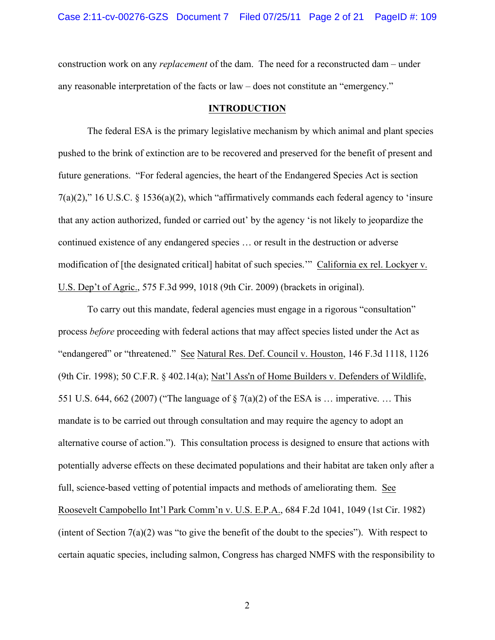construction work on any *replacement* of the dam. The need for a reconstructed dam – under any reasonable interpretation of the facts or law – does not constitute an "emergency."

#### **INTRODUCTION**

The federal ESA is the primary legislative mechanism by which animal and plant species pushed to the brink of extinction are to be recovered and preserved for the benefit of present and future generations. "For federal agencies, the heart of the Endangered Species Act is section 7(a)(2)," 16 U.S.C. § 1536(a)(2), which "affirmatively commands each federal agency to 'insure that any action authorized, funded or carried out' by the agency 'is not likely to jeopardize the continued existence of any endangered species … or result in the destruction or adverse modification of [the designated critical] habitat of such species.'" California ex rel. Lockyer v. U.S. Dep't of Agric., 575 F.3d 999, 1018 (9th Cir. 2009) (brackets in original).

To carry out this mandate, federal agencies must engage in a rigorous "consultation" process *before* proceeding with federal actions that may affect species listed under the Act as "endangered" or "threatened." See Natural Res. Def. Council v. Houston, 146 F.3d 1118, 1126 (9th Cir. 1998); 50 C.F.R. § 402.14(a); Nat'l Ass'n of Home Builders v. Defenders of Wildlife, 551 U.S. 644, 662 (2007) ("The language of § 7(a)(2) of the ESA is … imperative. … This mandate is to be carried out through consultation and may require the agency to adopt an alternative course of action."). This consultation process is designed to ensure that actions with potentially adverse effects on these decimated populations and their habitat are taken only after a full, science-based vetting of potential impacts and methods of ameliorating them. See Roosevelt Campobello Int'l Park Comm'n v. U.S. E.P.A., 684 F.2d 1041, 1049 (1st Cir. 1982) (intent of Section 7(a)(2) was "to give the benefit of the doubt to the species"). With respect to certain aquatic species, including salmon, Congress has charged NMFS with the responsibility to

2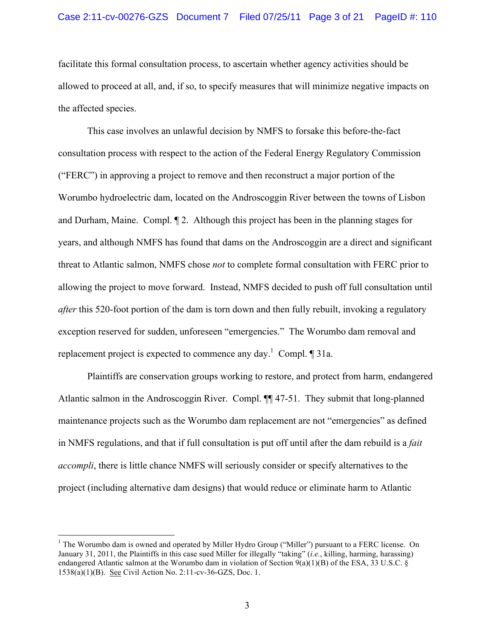facilitate this formal consultation process, to ascertain whether agency activities should be allowed to proceed at all, and, if so, to specify measures that will minimize negative impacts on the affected species.

This case involves an unlawful decision by NMFS to forsake this before-the-fact consultation process with respect to the action of the Federal Energy Regulatory Commission ("FERC") in approving a project to remove and then reconstruct a major portion of the Worumbo hydroelectric dam, located on the Androscoggin River between the towns of Lisbon and Durham, Maine. Compl. ¶ 2. Although this project has been in the planning stages for years, and although NMFS has found that dams on the Androscoggin are a direct and significant threat to Atlantic salmon, NMFS chose *not* to complete formal consultation with FERC prior to allowing the project to move forward. Instead, NMFS decided to push off full consultation until *after* this 520-foot portion of the dam is torn down and then fully rebuilt, invoking a regulatory exception reserved for sudden, unforeseen "emergencies." The Worumbo dam removal and replacement project is expected to commence any day.<sup>1</sup> Compl.  $\P$  31a.

Plaintiffs are conservation groups working to restore, and protect from harm, endangered Atlantic salmon in the Androscoggin River. Compl. ¶¶ 47-51. They submit that long-planned maintenance projects such as the Worumbo dam replacement are not "emergencies" as defined in NMFS regulations, and that if full consultation is put off until after the dam rebuild is a *fait accompli*, there is little chance NMFS will seriously consider or specify alternatives to the project (including alternative dam designs) that would reduce or eliminate harm to Atlantic

 <sup>1</sup> The Worumbo dam is owned and operated by Miller Hydro Group ("Miller") pursuant to a FERC license. On January 31, 2011, the Plaintiffs in this case sued Miller for illegally "taking" (*i.e.*, killing, harming, harassing) endangered Atlantic salmon at the Worumbo dam in violation of Section 9(a)(1)(B) of the ESA, 33 U.S.C. § 1538(a)(1)(B). See Civil Action No. 2:11-cv-36-GZS, Doc. 1.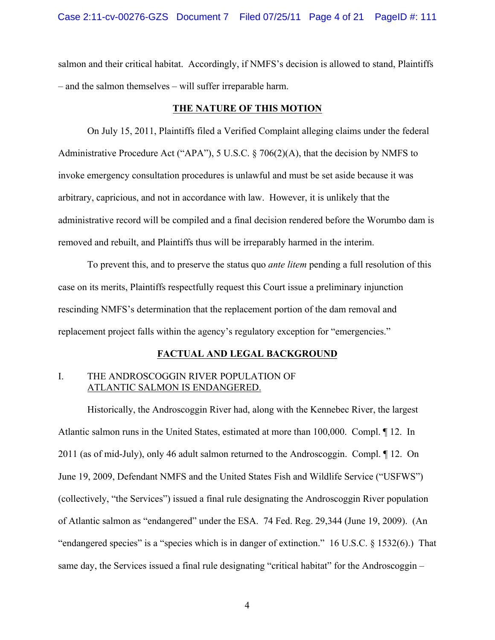salmon and their critical habitat. Accordingly, if NMFS's decision is allowed to stand, Plaintiffs – and the salmon themselves – will suffer irreparable harm.

#### **THE NATURE OF THIS MOTION**

On July 15, 2011, Plaintiffs filed a Verified Complaint alleging claims under the federal Administrative Procedure Act ("APA"), 5 U.S.C. § 706(2)(A), that the decision by NMFS to invoke emergency consultation procedures is unlawful and must be set aside because it was arbitrary, capricious, and not in accordance with law. However, it is unlikely that the administrative record will be compiled and a final decision rendered before the Worumbo dam is removed and rebuilt, and Plaintiffs thus will be irreparably harmed in the interim.

To prevent this, and to preserve the status quo *ante litem* pending a full resolution of this case on its merits, Plaintiffs respectfully request this Court issue a preliminary injunction rescinding NMFS's determination that the replacement portion of the dam removal and replacement project falls within the agency's regulatory exception for "emergencies."

### **FACTUAL AND LEGAL BACKGROUND**

## I. THE ANDROSCOGGIN RIVER POPULATION OF ATLANTIC SALMON IS ENDANGERED.

Historically, the Androscoggin River had, along with the Kennebec River, the largest Atlantic salmon runs in the United States, estimated at more than 100,000. Compl. ¶ 12. In 2011 (as of mid-July), only 46 adult salmon returned to the Androscoggin. Compl. ¶ 12. On June 19, 2009, Defendant NMFS and the United States Fish and Wildlife Service ("USFWS") (collectively, "the Services") issued a final rule designating the Androscoggin River population of Atlantic salmon as "endangered" under the ESA. 74 Fed. Reg. 29,344 (June 19, 2009). (An "endangered species" is a "species which is in danger of extinction." 16 U.S.C. § 1532(6).) That same day, the Services issued a final rule designating "critical habitat" for the Androscoggin –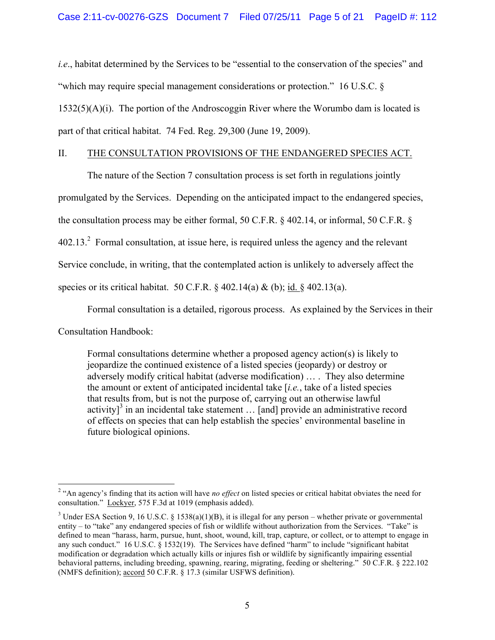*i.e.*, habitat determined by the Services to be "essential to the conservation of the species" and "which may require special management considerations or protection." 16 U.S.C. §  $1532(5)(A)(i)$ . The portion of the Androscoggin River where the Worumbo dam is located is part of that critical habitat. 74 Fed. Reg. 29,300 (June 19, 2009).

## II. THE CONSULTATION PROVISIONS OF THE ENDANGERED SPECIES ACT.

The nature of the Section 7 consultation process is set forth in regulations jointly

promulgated by the Services. Depending on the anticipated impact to the endangered species,

the consultation process may be either formal, 50 C.F.R. § 402.14, or informal, 50 C.F.R. §

 $402.13<sup>2</sup>$  Formal consultation, at issue here, is required unless the agency and the relevant

Service conclude, in writing, that the contemplated action is unlikely to adversely affect the

species or its critical habitat. 50 C.F.R.  $\S$  402.14(a) & (b); id.  $\S$  402.13(a).

Formal consultation is a detailed, rigorous process. As explained by the Services in their

Consultation Handbook:

Formal consultations determine whether a proposed agency action(s) is likely to jeopardize the continued existence of a listed species (jeopardy) or destroy or adversely modify critical habitat (adverse modification) … . They also determine the amount or extent of anticipated incidental take [*i.e.*, take of a listed species that results from, but is not the purpose of, carrying out an otherwise lawful activity<sup>3</sup> in an incidental take statement  $\ldots$  [and] provide an administrative record of effects on species that can help establish the species' environmental baseline in future biological opinions.

<sup>&</sup>lt;sup>2</sup> "An agency's finding that its action will have *no effect* on listed species or critical habitat obviates the need for consultation." Lockyer, 575 F.3d at 1019 (emphasis added).

<sup>&</sup>lt;sup>3</sup> Under ESA Section 9, 16 U.S.C. § 1538(a)(1)(B), it is illegal for any person – whether private or governmental entity – to "take" any endangered species of fish or wildlife without authorization from the Services. "Take" is defined to mean "harass, harm, pursue, hunt, shoot, wound, kill, trap, capture, or collect, or to attempt to engage in any such conduct." 16 U.S.C. § 1532(19). The Services have defined "harm" to include "significant habitat modification or degradation which actually kills or injures fish or wildlife by significantly impairing essential behavioral patterns, including breeding, spawning, rearing, migrating, feeding or sheltering." 50 C.F.R. § 222.102 (NMFS definition); accord 50 C.F.R. § 17.3 (similar USFWS definition).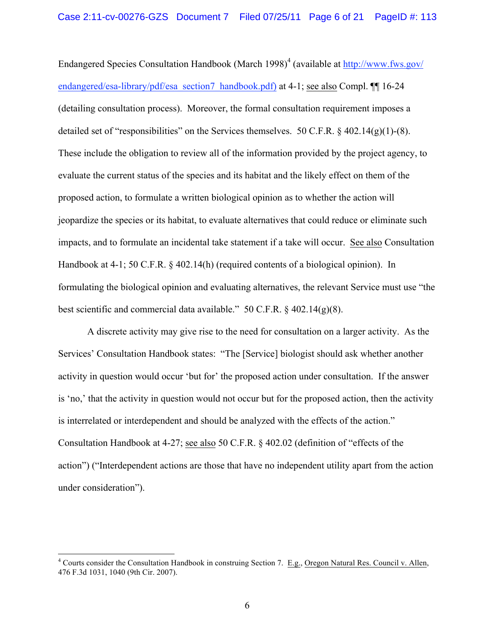Endangered Species Consultation Handbook (March 1998)<sup>4</sup> (available at http://www.fws.gov/ endangered/esa-library/pdf/esa\_section7\_handbook.pdf) at 4-1; see also Compl. ¶[ 16-24 (detailing consultation process). Moreover, the formal consultation requirement imposes a detailed set of "responsibilities" on the Services themselves. 50 C.F.R. § 402.14(g)(1)-(8). These include the obligation to review all of the information provided by the project agency, to evaluate the current status of the species and its habitat and the likely effect on them of the proposed action, to formulate a written biological opinion as to whether the action will jeopardize the species or its habitat, to evaluate alternatives that could reduce or eliminate such impacts, and to formulate an incidental take statement if a take will occur. See also Consultation Handbook at 4-1; 50 C.F.R. § 402.14(h) (required contents of a biological opinion). In formulating the biological opinion and evaluating alternatives, the relevant Service must use "the best scientific and commercial data available." 50 C.F.R.  $\S$  402.14(g)(8).

A discrete activity may give rise to the need for consultation on a larger activity. As the Services' Consultation Handbook states: "The [Service] biologist should ask whether another activity in question would occur 'but for' the proposed action under consultation. If the answer is 'no,' that the activity in question would not occur but for the proposed action, then the activity is interrelated or interdependent and should be analyzed with the effects of the action." Consultation Handbook at 4-27; see also 50 C.F.R. § 402.02 (definition of "effects of the action") ("Interdependent actions are those that have no independent utility apart from the action under consideration").

 $4$  Courts consider the Consultation Handbook in construing Section 7. E.g., Oregon Natural Res. Council v. Allen, 476 F.3d 1031, 1040 (9th Cir. 2007).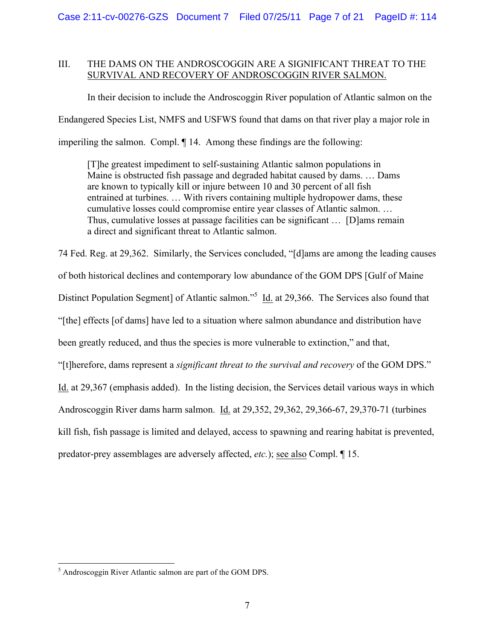## III. THE DAMS ON THE ANDROSCOGGIN ARE A SIGNIFICANT THREAT TO THE SURVIVAL AND RECOVERY OF ANDROSCOGGIN RIVER SALMON.

In their decision to include the Androscoggin River population of Atlantic salmon on the Endangered Species List, NMFS and USFWS found that dams on that river play a major role in imperiling the salmon. Compl. ¶ 14. Among these findings are the following:

[T]he greatest impediment to self-sustaining Atlantic salmon populations in Maine is obstructed fish passage and degraded habitat caused by dams. … Dams are known to typically kill or injure between 10 and 30 percent of all fish entrained at turbines. … With rivers containing multiple hydropower dams, these cumulative losses could compromise entire year classes of Atlantic salmon. … Thus, cumulative losses at passage facilities can be significant … [D]ams remain a direct and significant threat to Atlantic salmon.

74 Fed. Reg. at 29,362. Similarly, the Services concluded, "[d]ams are among the leading causes of both historical declines and contemporary low abundance of the GOM DPS [Gulf of Maine Distinct Population Segment] of Atlantic salmon."<sup>5</sup> Id. at 29,366. The Services also found that "[the] effects [of dams] have led to a situation where salmon abundance and distribution have been greatly reduced, and thus the species is more vulnerable to extinction," and that, "[t]herefore, dams represent a *significant threat to the survival and recovery* of the GOM DPS." Id. at 29,367 (emphasis added). In the listing decision, the Services detail various ways in which Androscoggin River dams harm salmon. Id. at 29,352, 29,362, 29,366-67, 29,370-71 (turbines kill fish, fish passage is limited and delayed, access to spawning and rearing habitat is prevented,

predator-prey assemblages are adversely affected, *etc.*); see also Compl. ¶ 15.

 <sup>5</sup> Androscoggin River Atlantic salmon are part of the GOM DPS.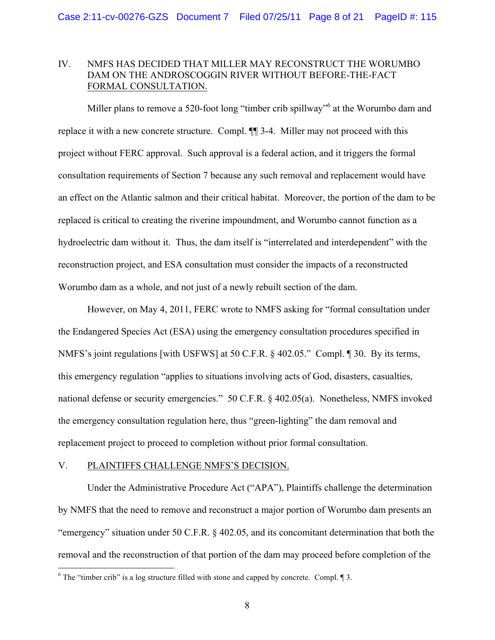## IV. NMFS HAS DECIDED THAT MILLER MAY RECONSTRUCT THE WORUMBO DAM ON THE ANDROSCOGGIN RIVER WITHOUT BEFORE-THE-FACT FORMAL CONSULTATION.

Miller plans to remove a 520-foot long "timber crib spillway"<sup>6</sup> at the Worumbo dam and replace it with a new concrete structure. Compl. ¶¶ 3-4. Miller may not proceed with this project without FERC approval. Such approval is a federal action, and it triggers the formal consultation requirements of Section 7 because any such removal and replacement would have an effect on the Atlantic salmon and their critical habitat. Moreover, the portion of the dam to be replaced is critical to creating the riverine impoundment, and Worumbo cannot function as a hydroelectric dam without it. Thus, the dam itself is "interrelated and interdependent" with the reconstruction project, and ESA consultation must consider the impacts of a reconstructed Worumbo dam as a whole, and not just of a newly rebuilt section of the dam.

However, on May 4, 2011, FERC wrote to NMFS asking for "formal consultation under the Endangered Species Act (ESA) using the emergency consultation procedures specified in NMFS's joint regulations [with USFWS] at 50 C.F.R. § 402.05." Compl. ¶ 30. By its terms, this emergency regulation "applies to situations involving acts of God, disasters, casualties, national defense or security emergencies." 50 C.F.R. § 402.05(a). Nonetheless, NMFS invoked the emergency consultation regulation here, thus "green-lighting" the dam removal and replacement project to proceed to completion without prior formal consultation.

### V. PLAINTIFFS CHALLENGE NMFS'S DECISION.

Under the Administrative Procedure Act ("APA"), Plaintiffs challenge the determination by NMFS that the need to remove and reconstruct a major portion of Worumbo dam presents an "emergency" situation under 50 C.F.R. § 402.05, and its concomitant determination that both the removal and the reconstruction of that portion of the dam may proceed before completion of the

 $6$  The "timber crib" is a log structure filled with stone and capped by concrete. Compl.  $\llbracket 3$ .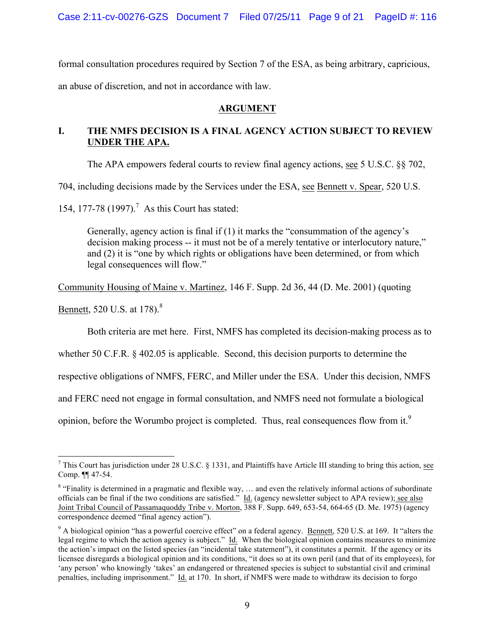Case 2:11-cv-00276-GZS Document 7 Filed 07/25/11 Page 9 of 21 PageID #: 116

formal consultation procedures required by Section 7 of the ESA, as being arbitrary, capricious, an abuse of discretion, and not in accordance with law.

## **ARGUMENT**

## **I. THE NMFS DECISION IS A FINAL AGENCY ACTION SUBJECT TO REVIEW UNDER THE APA.**

The APA empowers federal courts to review final agency actions, see 5 U.S.C. §§ 702,

704, including decisions made by the Services under the ESA, see Bennett v. Spear, 520 U.S.

154, 177-78 (1997).<sup>7</sup> As this Court has stated:

Generally, agency action is final if (1) it marks the "consummation of the agency's decision making process -- it must not be of a merely tentative or interlocutory nature," and (2) it is "one by which rights or obligations have been determined, or from which legal consequences will flow."

Community Housing of Maine v. Martinez, 146 F. Supp. 2d 36, 44 (D. Me. 2001) (quoting

Bennett, 520 U.S. at 178).<sup>8</sup>

Both criteria are met here. First, NMFS has completed its decision-making process as to

whether 50 C.F.R. § 402.05 is applicable. Second, this decision purports to determine the

respective obligations of NMFS, FERC, and Miller under the ESA. Under this decision, NMFS

and FERC need not engage in formal consultation, and NMFS need not formulate a biological

opinion, before the Worumbo project is completed. Thus, real consequences flow from it.<sup>9</sup>

 <sup>7</sup> This Court has jurisdiction under 28 U.S.C. § 1331, and Plaintiffs have Article III standing to bring this action, see Comp. ¶¶ 47-54.

<sup>&</sup>lt;sup>8</sup> "Finality is determined in a pragmatic and flexible way, ... and even the relatively informal actions of subordinate officials can be final if the two conditions are satisfied." Id. (agency newsletter subject to APA review); see also Joint Tribal Council of Passamaquoddy Tribe v. Morton, 388 F. Supp. 649, 653-54, 664-65 (D. Me. 1975) (agency correspondence deemed "final agency action").

 $9$  A biological opinion "has a powerful coercive effect" on a federal agency. Bennett, 520 U.S. at 169. It "alters the legal regime to which the action agency is subject." Id. When the biological opinion contains measures to minimize the action's impact on the listed species (an "incidental take statement"), it constitutes a permit. If the agency or its licensee disregards a biological opinion and its conditions, "it does so at its own peril (and that of its employees), for 'any person' who knowingly 'takes' an endangered or threatened species is subject to substantial civil and criminal penalties, including imprisonment." Id. at 170. In short, if NMFS were made to withdraw its decision to forgo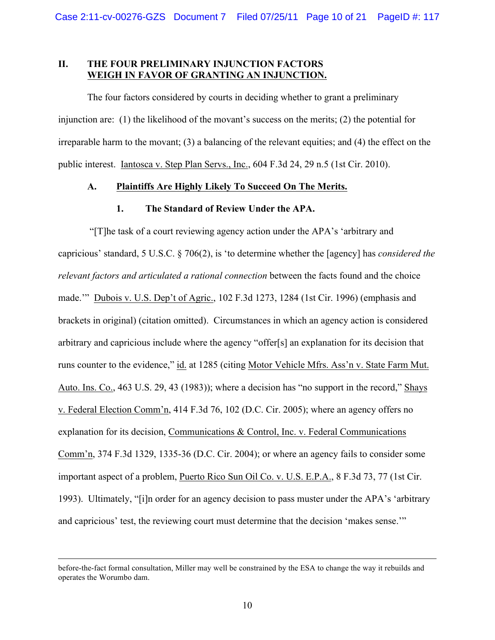## **II. THE FOUR PRELIMINARY INJUNCTION FACTORS WEIGH IN FAVOR OF GRANTING AN INJUNCTION.**

The four factors considered by courts in deciding whether to grant a preliminary injunction are: (1) the likelihood of the movant's success on the merits; (2) the potential for irreparable harm to the movant; (3) a balancing of the relevant equities; and (4) the effect on the public interest. Iantosca v. Step Plan Servs., Inc., 604 F.3d 24, 29 n.5 (1st Cir. 2010).

## **A. Plaintiffs Are Highly Likely To Succeed On The Merits.**

### **1. The Standard of Review Under the APA.**

"[T]he task of a court reviewing agency action under the APA's 'arbitrary and capricious' standard, 5 U.S.C. § 706(2), is 'to determine whether the [agency] has *considered the relevant factors and articulated a rational connection* between the facts found and the choice made.'" Dubois v. U.S. Dep't of Agric., 102 F.3d 1273, 1284 (1st Cir. 1996) (emphasis and brackets in original) (citation omitted). Circumstances in which an agency action is considered arbitrary and capricious include where the agency "offer[s] an explanation for its decision that runs counter to the evidence," id. at 1285 (citing Motor Vehicle Mfrs. Ass'n v. State Farm Mut. Auto. Ins. Co., 463 U.S. 29, 43 (1983)); where a decision has "no support in the record," Shays v. Federal Election Comm'n, 414 F.3d 76, 102 (D.C. Cir. 2005); where an agency offers no explanation for its decision, Communications & Control, Inc. v. Federal Communications Comm'n, 374 F.3d 1329, 1335-36 (D.C. Cir. 2004); or where an agency fails to consider some important aspect of a problem, Puerto Rico Sun Oil Co. v. U.S. E.P.A., 8 F.3d 73, 77 (1st Cir. 1993). Ultimately, "[i]n order for an agency decision to pass muster under the APA's 'arbitrary and capricious' test, the reviewing court must determine that the decision 'makes sense.'"

before-the-fact formal consultation, Miller may well be constrained by the ESA to change the way it rebuilds and operates the Worumbo dam.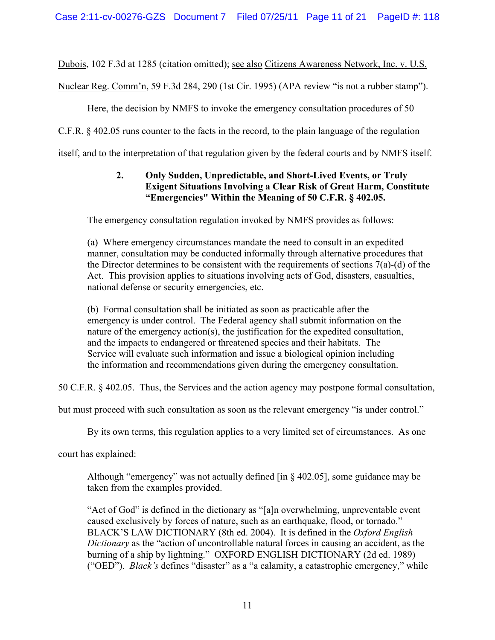Dubois, 102 F.3d at 1285 (citation omitted); see also Citizens Awareness Network, Inc. v. U.S.

Nuclear Reg. Comm'n, 59 F.3d 284, 290 (1st Cir. 1995) (APA review "is not a rubber stamp").

Here, the decision by NMFS to invoke the emergency consultation procedures of 50

C.F.R. § 402.05 runs counter to the facts in the record, to the plain language of the regulation

itself, and to the interpretation of that regulation given by the federal courts and by NMFS itself.

# **2. Only Sudden, Unpredictable, and Short-Lived Events, or Truly Exigent Situations Involving a Clear Risk of Great Harm, Constitute "Emergencies" Within the Meaning of 50 C.F.R. § 402.05.**

The emergency consultation regulation invoked by NMFS provides as follows:

(a) Where emergency circumstances mandate the need to consult in an expedited manner, consultation may be conducted informally through alternative procedures that the Director determines to be consistent with the requirements of sections 7(a)-(d) of the Act. This provision applies to situations involving acts of God, disasters, casualties, national defense or security emergencies, etc.

(b) Formal consultation shall be initiated as soon as practicable after the emergency is under control. The Federal agency shall submit information on the nature of the emergency action(s), the justification for the expedited consultation, and the impacts to endangered or threatened species and their habitats. The Service will evaluate such information and issue a biological opinion including the information and recommendations given during the emergency consultation.

50 C.F.R. § 402.05. Thus, the Services and the action agency may postpone formal consultation,

but must proceed with such consultation as soon as the relevant emergency "is under control."

By its own terms, this regulation applies to a very limited set of circumstances. As one

court has explained:

Although "emergency" was not actually defined [in § 402.05], some guidance may be taken from the examples provided.

"Act of God" is defined in the dictionary as "[a]n overwhelming, unpreventable event caused exclusively by forces of nature, such as an earthquake, flood, or tornado." BLACK'S LAW DICTIONARY (8th ed. 2004). It is defined in the *Oxford English Dictionary* as the "action of uncontrollable natural forces in causing an accident, as the burning of a ship by lightning." OXFORD ENGLISH DICTIONARY (2d ed. 1989) ("OED"). *Black's* defines "disaster" as a "a calamity, a catastrophic emergency," while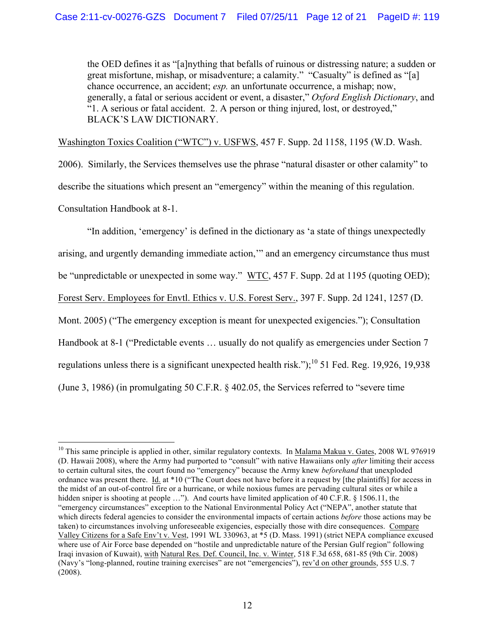the OED defines it as "[a]nything that befalls of ruinous or distressing nature; a sudden or great misfortune, mishap, or misadventure; a calamity." "Casualty" is defined as "[a] chance occurrence, an accident; *esp.* an unfortunate occurrence, a mishap; now, generally, a fatal or serious accident or event, a disaster," *Oxford English Dictionary*, and "1. A serious or fatal accident. 2. A person or thing injured, lost, or destroyed," BLACK'S LAW DICTIONARY.

Washington Toxics Coalition ("WTC") v. USFWS, 457 F. Supp. 2d 1158, 1195 (W.D. Wash.

2006). Similarly, the Services themselves use the phrase "natural disaster or other calamity" to describe the situations which present an "emergency" within the meaning of this regulation. Consultation Handbook at 8-1.

"In addition, 'emergency' is defined in the dictionary as 'a state of things unexpectedly arising, and urgently demanding immediate action,'" and an emergency circumstance thus must be "unpredictable or unexpected in some way." WTC, 457 F. Supp. 2d at 1195 (quoting OED); Forest Serv. Employees for Envtl. Ethics v. U.S. Forest Serv., 397 F. Supp. 2d 1241, 1257 (D. Mont. 2005) ("The emergency exception is meant for unexpected exigencies."); Consultation Handbook at 8-1 ("Predictable events ... usually do not qualify as emergencies under Section 7 regulations unless there is a significant unexpected health risk.");<sup>10</sup> 51 Fed. Reg. 19,926, 19,938 (June 3, 1986) (in promulgating 50 C.F.R. § 402.05, the Services referred to "severe time

 $10$  This same principle is applied in other, similar regulatory contexts. In Malama Makua v. Gates, 2008 WL 976919 (D. Hawaii 2008), where the Army had purported to "consult" with native Hawaiians only *after* limiting their access to certain cultural sites, the court found no "emergency" because the Army knew *beforehand* that unexploded ordnance was present there. Id. at \*10 ("The Court does not have before it a request by [the plaintiffs] for access in the midst of an out-of-control fire or a hurricane, or while noxious fumes are pervading cultural sites or while a hidden sniper is shooting at people ..."). And courts have limited application of 40 C.F.R. § 1506.11, the "emergency circumstances" exception to the National Environmental Policy Act ("NEPA", another statute that which directs federal agencies to consider the environmental impacts of certain actions *before* those actions may be taken) to circumstances involving unforeseeable exigencies, especially those with dire consequences. Compare Valley Citizens for a Safe Env't v. Vest, 1991 WL 330963, at \*5 (D. Mass. 1991) (strict NEPA compliance excused where use of Air Force base depended on "hostile and unpredictable nature of the Persian Gulf region" following Iraqi invasion of Kuwait), with Natural Res. Def. Council, Inc. v. Winter, 518 F.3d 658, 681-85 (9th Cir. 2008) (Navy's "long-planned, routine training exercises" are not "emergencies"), rev'd on other grounds, 555 U.S. 7 (2008).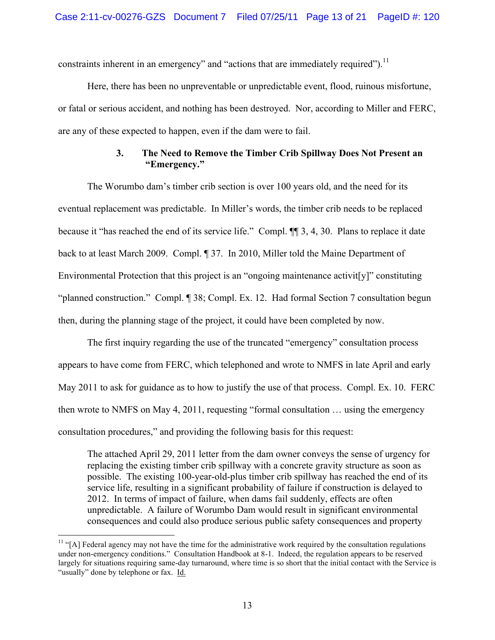constraints inherent in an emergency" and "actions that are immediately required").<sup>11</sup>

Here, there has been no unpreventable or unpredictable event, flood, ruinous misfortune, or fatal or serious accident, and nothing has been destroyed. Nor, according to Miller and FERC, are any of these expected to happen, even if the dam were to fail.

## **3. The Need to Remove the Timber Crib Spillway Does Not Present an "Emergency."**

The Worumbo dam's timber crib section is over 100 years old, and the need for its eventual replacement was predictable. In Miller's words, the timber crib needs to be replaced because it "has reached the end of its service life." Compl. ¶¶ 3, 4, 30. Plans to replace it date back to at least March 2009. Compl. ¶ 37. In 2010, Miller told the Maine Department of Environmental Protection that this project is an "ongoing maintenance activit[y]" constituting "planned construction." Compl. ¶ 38; Compl. Ex. 12. Had formal Section 7 consultation begun then, during the planning stage of the project, it could have been completed by now.

The first inquiry regarding the use of the truncated "emergency" consultation process appears to have come from FERC, which telephoned and wrote to NMFS in late April and early May 2011 to ask for guidance as to how to justify the use of that process. Compl. Ex. 10. FERC then wrote to NMFS on May 4, 2011, requesting "formal consultation … using the emergency consultation procedures," and providing the following basis for this request:

The attached April 29, 2011 letter from the dam owner conveys the sense of urgency for replacing the existing timber crib spillway with a concrete gravity structure as soon as possible. The existing 100-year-old-plus timber crib spillway has reached the end of its service life, resulting in a significant probability of failure if construction is delayed to 2012. In terms of impact of failure, when dams fail suddenly, effects are often unpredictable. A failure of Worumbo Dam would result in significant environmental consequences and could also produce serious public safety consequences and property

 $11$  "[A] Federal agency may not have the time for the administrative work required by the consultation regulations under non-emergency conditions." Consultation Handbook at 8-1. Indeed, the regulation appears to be reserved largely for situations requiring same-day turnaround, where time is so short that the initial contact with the Service is "usually" done by telephone or fax. Id.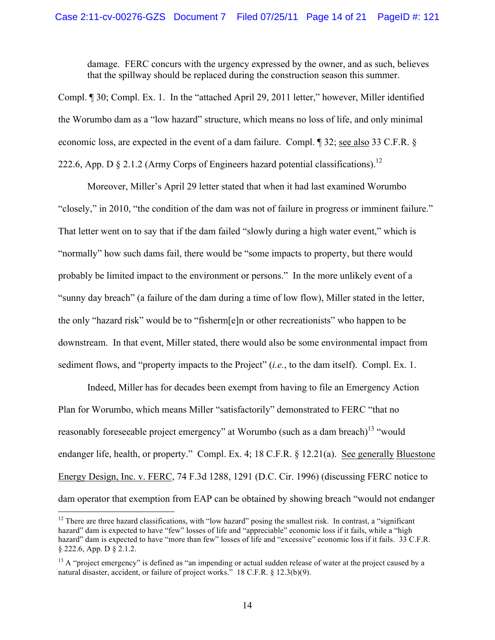damage. FERC concurs with the urgency expressed by the owner, and as such, believes that the spillway should be replaced during the construction season this summer.

Compl. ¶ 30; Compl. Ex. 1. In the "attached April 29, 2011 letter," however, Miller identified the Worumbo dam as a "low hazard" structure, which means no loss of life, and only minimal economic loss, are expected in the event of a dam failure. Compl. ¶ 32; see also 33 C.F.R. § 222.6, App. D  $\S 2.1.2$  (Army Corps of Engineers hazard potential classifications).<sup>12</sup>

Moreover, Miller's April 29 letter stated that when it had last examined Worumbo "closely," in 2010, "the condition of the dam was not of failure in progress or imminent failure." That letter went on to say that if the dam failed "slowly during a high water event," which is "normally" how such dams fail, there would be "some impacts to property, but there would probably be limited impact to the environment or persons." In the more unlikely event of a "sunny day breach" (a failure of the dam during a time of low flow), Miller stated in the letter, the only "hazard risk" would be to "fisherm[e]n or other recreationists" who happen to be downstream. In that event, Miller stated, there would also be some environmental impact from sediment flows, and "property impacts to the Project" (*i.e.*, to the dam itself). Compl. Ex. 1.

Indeed, Miller has for decades been exempt from having to file an Emergency Action Plan for Worumbo, which means Miller "satisfactorily" demonstrated to FERC "that no reasonably foreseeable project emergency" at Worumbo (such as a dam breach)<sup>13</sup> "would endanger life, health, or property." Compl. Ex. 4; 18 C.F.R. § 12.21(a). See generally Bluestone Energy Design, Inc. v. FERC, 74 F.3d 1288, 1291 (D.C. Cir. 1996) (discussing FERC notice to dam operator that exemption from EAP can be obtained by showing breach "would not endanger

<sup>&</sup>lt;sup>12</sup> There are three hazard classifications, with "low hazard" posing the smallest risk. In contrast, a "significant hazard" dam is expected to have "few" losses of life and "appreciable" economic loss if it fails, while a "high hazard" dam is expected to have "more than few" losses of life and "excessive" economic loss if it fails. 33 C.F.R. § 222.6, App. D § 2.1.2.

 $13$  A "project emergency" is defined as "an impending or actual sudden release of water at the project caused by a natural disaster, accident, or failure of project works." 18 C.F.R. § 12.3(b)(9).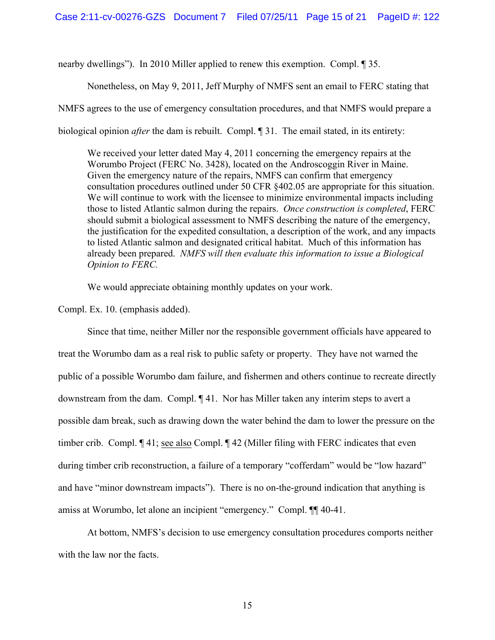nearby dwellings"). In 2010 Miller applied to renew this exemption. Compl. ¶ 35.

Nonetheless, on May 9, 2011, Jeff Murphy of NMFS sent an email to FERC stating that NMFS agrees to the use of emergency consultation procedures, and that NMFS would prepare a biological opinion *after* the dam is rebuilt. Compl. **[31.** The email stated, in its entirety:

We received your letter dated May 4, 2011 concerning the emergency repairs at the Worumbo Project (FERC No. 3428), located on the Androscoggin River in Maine. Given the emergency nature of the repairs, NMFS can confirm that emergency consultation procedures outlined under 50 CFR §402.05 are appropriate for this situation. We will continue to work with the licensee to minimize environmental impacts including those to listed Atlantic salmon during the repairs. *Once construction is completed*, FERC should submit a biological assessment to NMFS describing the nature of the emergency, the justification for the expedited consultation, a description of the work, and any impacts to listed Atlantic salmon and designated critical habitat. Much of this information has already been prepared. *NMFS will then evaluate this information to issue a Biological Opinion to FERC.*

We would appreciate obtaining monthly updates on your work.

Compl. Ex. 10. (emphasis added).

Since that time, neither Miller nor the responsible government officials have appeared to treat the Worumbo dam as a real risk to public safety or property. They have not warned the public of a possible Worumbo dam failure, and fishermen and others continue to recreate directly downstream from the dam. Compl. ¶ 41. Nor has Miller taken any interim steps to avert a possible dam break, such as drawing down the water behind the dam to lower the pressure on the timber crib. Compl. ¶ 41; see also Compl. ¶ 42 (Miller filing with FERC indicates that even during timber crib reconstruction, a failure of a temporary "cofferdam" would be "low hazard" and have "minor downstream impacts"). There is no on-the-ground indication that anything is amiss at Worumbo, let alone an incipient "emergency." Compl. ¶¶ 40-41.

At bottom, NMFS's decision to use emergency consultation procedures comports neither with the law nor the facts.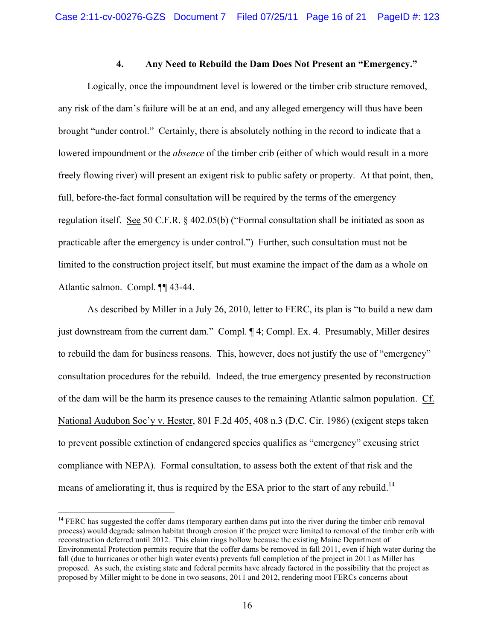#### **4. Any Need to Rebuild the Dam Does Not Present an "Emergency."**

Logically, once the impoundment level is lowered or the timber crib structure removed, any risk of the dam's failure will be at an end, and any alleged emergency will thus have been brought "under control." Certainly, there is absolutely nothing in the record to indicate that a lowered impoundment or the *absence* of the timber crib (either of which would result in a more freely flowing river) will present an exigent risk to public safety or property. At that point, then, full, before-the-fact formal consultation will be required by the terms of the emergency regulation itself. See 50 C.F.R. § 402.05(b) ("Formal consultation shall be initiated as soon as practicable after the emergency is under control.") Further, such consultation must not be limited to the construction project itself, but must examine the impact of the dam as a whole on Atlantic salmon. Compl. ¶¶ 43-44.

As described by Miller in a July 26, 2010, letter to FERC, its plan is "to build a new dam just downstream from the current dam." Compl. ¶ 4; Compl. Ex. 4. Presumably, Miller desires to rebuild the dam for business reasons. This, however, does not justify the use of "emergency" consultation procedures for the rebuild. Indeed, the true emergency presented by reconstruction of the dam will be the harm its presence causes to the remaining Atlantic salmon population. Cf. National Audubon Soc'y v. Hester, 801 F.2d 405, 408 n.3 (D.C. Cir. 1986) (exigent steps taken to prevent possible extinction of endangered species qualifies as "emergency" excusing strict compliance with NEPA). Formal consultation, to assess both the extent of that risk and the means of ameliorating it, thus is required by the ESA prior to the start of any rebuild.<sup>14</sup>

<sup>&</sup>lt;sup>14</sup> FERC has suggested the coffer dams (temporary earthen dams put into the river during the timber crib removal process) would degrade salmon habitat through erosion if the project were limited to removal of the timber crib with reconstruction deferred until 2012. This claim rings hollow because the existing Maine Department of Environmental Protection permits require that the coffer dams be removed in fall 2011, even if high water during the fall (due to hurricanes or other high water events) prevents full completion of the project in 2011 as Miller has proposed. As such, the existing state and federal permits have already factored in the possibility that the project as proposed by Miller might to be done in two seasons, 2011 and 2012, rendering moot FERCs concerns about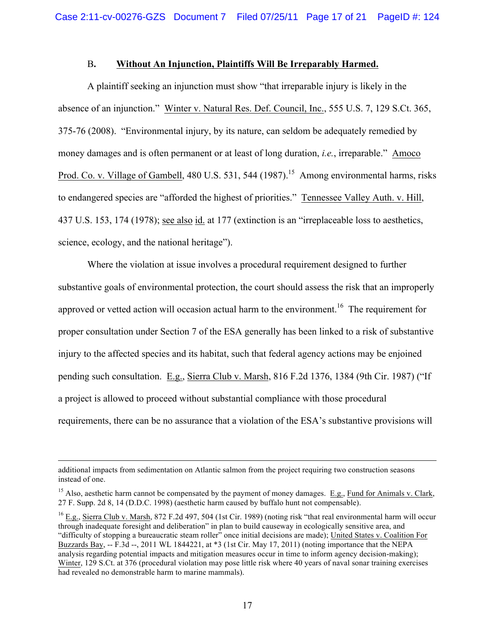### B**. Without An Injunction, Plaintiffs Will Be Irreparably Harmed.**

A plaintiff seeking an injunction must show "that irreparable injury is likely in the absence of an injunction." Winter v. Natural Res. Def. Council, Inc., 555 U.S. 7, 129 S.Ct. 365, 375-76 (2008). "Environmental injury, by its nature, can seldom be adequately remedied by money damages and is often permanent or at least of long duration, *i.e.*, irreparable." Amoco Prod. Co. v. Village of Gambell, 480 U.S. 531, 544 (1987).<sup>15</sup> Among environmental harms, risks to endangered species are "afforded the highest of priorities." Tennessee Valley Auth. v. Hill, 437 U.S. 153, 174 (1978); see also id. at 177 (extinction is an "irreplaceable loss to aesthetics, science, ecology, and the national heritage").

Where the violation at issue involves a procedural requirement designed to further substantive goals of environmental protection, the court should assess the risk that an improperly approved or vetted action will occasion actual harm to the environment.<sup>16</sup> The requirement for proper consultation under Section 7 of the ESA generally has been linked to a risk of substantive injury to the affected species and its habitat, such that federal agency actions may be enjoined pending such consultation. E.g., Sierra Club v. Marsh, 816 F.2d 1376, 1384 (9th Cir. 1987) ("If a project is allowed to proceed without substantial compliance with those procedural requirements, there can be no assurance that a violation of the ESA's substantive provisions will

 $\overline{a}$ 

additional impacts from sedimentation on Atlantic salmon from the project requiring two construction seasons instead of one.

<sup>&</sup>lt;sup>15</sup> Also, aesthetic harm cannot be compensated by the payment of money damages. E.g., Fund for Animals v. Clark, 27 F. Supp. 2d 8, 14 (D.D.C. 1998) (aesthetic harm caused by buffalo hunt not compensable).

 $^{16}$  E.g., Sierra Club v. Marsh, 872 F.2d 497, 504 (1st Cir. 1989) (noting risk "that real environmental harm will occur through inadequate foresight and deliberation" in plan to build causeway in ecologically sensitive area, and "difficulty of stopping a bureaucratic steam roller" once initial decisions are made); United States v. Coalition For Buzzards Bay, -- F.3d --, 2011 WL 1844221, at \*3 (1st Cir. May 17, 2011) (noting importance that the NEPA analysis regarding potential impacts and mitigation measures occur in time to inform agency decision-making); Winter, 129 S.Ct. at 376 (procedural violation may pose little risk where 40 years of naval sonar training exercises had revealed no demonstrable harm to marine mammals).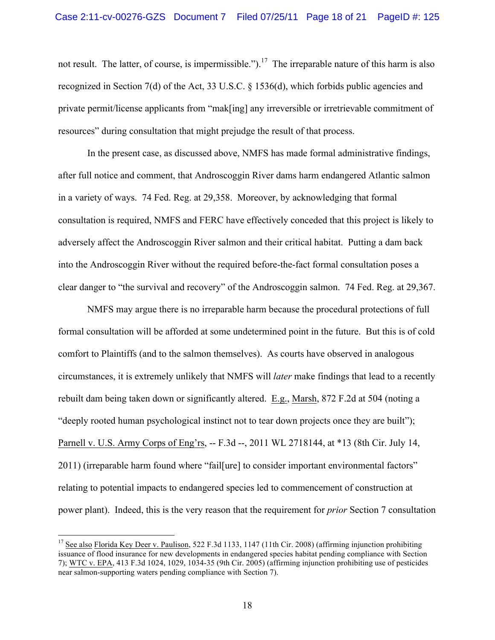not result. The latter, of course, is impermissible.").<sup>17</sup> The irreparable nature of this harm is also recognized in Section 7(d) of the Act, 33 U.S.C. § 1536(d), which forbids public agencies and private permit/license applicants from "mak[ing] any irreversible or irretrievable commitment of resources" during consultation that might prejudge the result of that process.

In the present case, as discussed above, NMFS has made formal administrative findings, after full notice and comment, that Androscoggin River dams harm endangered Atlantic salmon in a variety of ways. 74 Fed. Reg. at 29,358. Moreover, by acknowledging that formal consultation is required, NMFS and FERC have effectively conceded that this project is likely to adversely affect the Androscoggin River salmon and their critical habitat. Putting a dam back into the Androscoggin River without the required before-the-fact formal consultation poses a clear danger to "the survival and recovery" of the Androscoggin salmon. 74 Fed. Reg. at 29,367.

NMFS may argue there is no irreparable harm because the procedural protections of full formal consultation will be afforded at some undetermined point in the future. But this is of cold comfort to Plaintiffs (and to the salmon themselves). As courts have observed in analogous circumstances, it is extremely unlikely that NMFS will *later* make findings that lead to a recently rebuilt dam being taken down or significantly altered. E.g., Marsh, 872 F.2d at 504 (noting a "deeply rooted human psychological instinct not to tear down projects once they are built"); Parnell v. U.S. Army Corps of Eng'rs, -- F.3d --, 2011 WL 2718144, at \*13 (8th Cir. July 14, 2011) (irreparable harm found where "fail[ure] to consider important environmental factors" relating to potential impacts to endangered species led to commencement of construction at power plant). Indeed, this is the very reason that the requirement for *prior* Section 7 consultation

<sup>&</sup>lt;sup>17</sup> See also Florida Key Deer v. Paulison, 522 F.3d 1133, 1147 (11th Cir. 2008) (affirming injunction prohibiting issuance of flood insurance for new developments in endangered species habitat pending compliance with Section 7); WTC v. EPA, 413 F.3d 1024, 1029, 1034-35 (9th Cir. 2005) (affirming injunction prohibiting use of pesticides near salmon-supporting waters pending compliance with Section 7).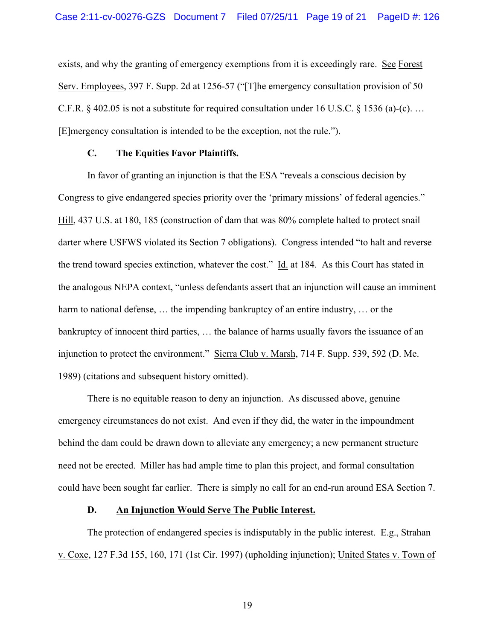exists, and why the granting of emergency exemptions from it is exceedingly rare. See Forest Serv. Employees, 397 F. Supp. 2d at 1256-57 ("[T]he emergency consultation provision of 50 C.F.R. § 402.05 is not a substitute for required consultation under 16 U.S.C. § 1536 (a)-(c). … [E]mergency consultation is intended to be the exception, not the rule.").

## **C. The Equities Favor Plaintiffs.**

In favor of granting an injunction is that the ESA "reveals a conscious decision by Congress to give endangered species priority over the 'primary missions' of federal agencies." Hill, 437 U.S. at 180, 185 (construction of dam that was 80% complete halted to protect snail darter where USFWS violated its Section 7 obligations). Congress intended "to halt and reverse the trend toward species extinction, whatever the cost." Id. at 184. As this Court has stated in the analogous NEPA context, "unless defendants assert that an injunction will cause an imminent harm to national defense, ... the impending bankruptcy of an entire industry, ... or the bankruptcy of innocent third parties, … the balance of harms usually favors the issuance of an injunction to protect the environment." Sierra Club v. Marsh, 714 F. Supp. 539, 592 (D. Me. 1989) (citations and subsequent history omitted).

There is no equitable reason to deny an injunction. As discussed above, genuine emergency circumstances do not exist. And even if they did, the water in the impoundment behind the dam could be drawn down to alleviate any emergency; a new permanent structure need not be erected. Miller has had ample time to plan this project, and formal consultation could have been sought far earlier. There is simply no call for an end-run around ESA Section 7.

### **D. An Injunction Would Serve The Public Interest.**

The protection of endangered species is indisputably in the public interest. E.g., Strahan v. Coxe, 127 F.3d 155, 160, 171 (1st Cir. 1997) (upholding injunction); United States v. Town of

19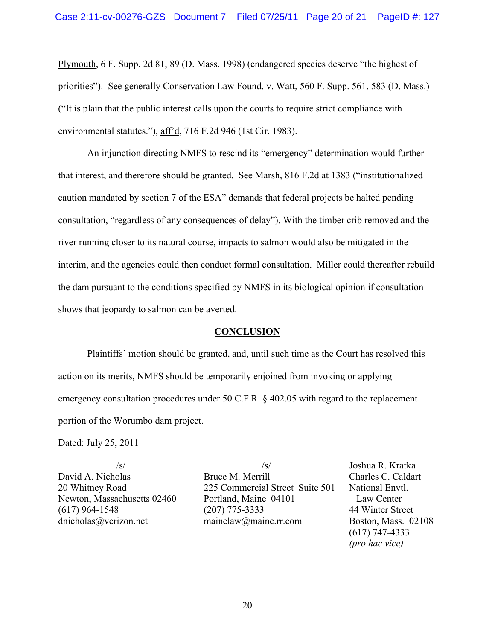Plymouth, 6 F. Supp. 2d 81, 89 (D. Mass. 1998) (endangered species deserve "the highest of priorities"). See generally Conservation Law Found. v. Watt, 560 F. Supp. 561, 583 (D. Mass.) ("It is plain that the public interest calls upon the courts to require strict compliance with environmental statutes."), aff'd, 716 F.2d 946 (1st Cir. 1983).

An injunction directing NMFS to rescind its "emergency" determination would further that interest, and therefore should be granted. See Marsh, 816 F.2d at 1383 ("institutionalized caution mandated by section 7 of the ESA" demands that federal projects be halted pending consultation, "regardless of any consequences of delay"). With the timber crib removed and the river running closer to its natural course, impacts to salmon would also be mitigated in the interim, and the agencies could then conduct formal consultation. Miller could thereafter rebuild the dam pursuant to the conditions specified by NMFS in its biological opinion if consultation shows that jeopardy to salmon can be averted.

### **CONCLUSION**

Plaintiffs' motion should be granted, and, until such time as the Court has resolved this action on its merits, NMFS should be temporarily enjoined from invoking or applying emergency consultation procedures under 50 C.F.R. § 402.05 with regard to the replacement portion of the Worumbo dam project.

Dated: July 25, 2011

/s/ /s/ Joshua R. Kratka David A. Nicholas Bruce M. Merrill Charles C. Caldart 20 Whitney Road 225 Commercial Street Suite 501 National Envtl. Newton, Massachusetts 02460 Portland, Maine 04101 Law Center (617) 964-1548 (207) 775-3333 44 Winter Street dnicholas@verizon.net mainelaw@maine.rr.com Boston, Mass. 02108

(617) 747-4333 *(pro hac vice)*